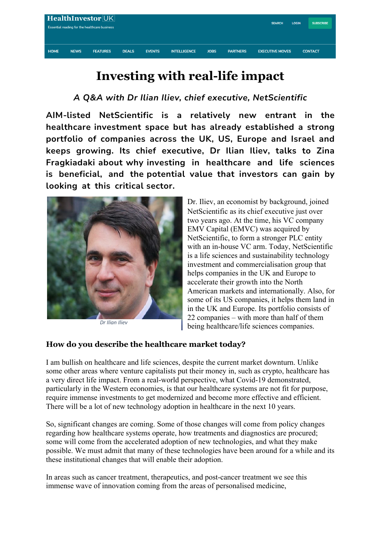

# **Investing with real-life impact**

# *A Q&A with Dr Ilian Iliev, chief executive, NetScientific*

**AIM-listed NetScientific is a relatively new entrant in the healthcare investment space but has already established a strong portfolio of companies across the UK, US, Europe and Israel and keeps growing. Its chief executive, Dr Ilian Iliev, talks to Zina Fragkiadaki about why investing in healthcare and life sciences is beneficial, and the potential value that investors can gain by looking at this critical sector.** 



*Dr Ilian Iliev*

Dr. Iliev, an economist by background, joined NetScientific as its chief executive just over two years ago. At the time, his VC company EMV Capital (EMVC) was acquired by NetScientific, to form a stronger PLC entity with an in-house VC arm. Today, NetScientific is a life sciences and sustainability technology investment and commercialisation group that helps companies in the UK and Europe to accelerate their growth into the North American markets and internationally. Also, for some of its US companies, it helps them land in in the UK and Europe. Its portfolio consists of 22 companies – with more than half of them being healthcare/life sciences companies.

# **How do you describe the healthcare market today?**

I am bullish on healthcare and life sciences, despite the current market downturn. Unlike some other areas where venture capitalists put their money in, such as crypto, healthcare has a very direct life impact. From a real-world perspective, what Covid-19 demonstrated, particularly in the Western economies, is that our healthcare systems are not fit for purpose, require immense investments to get modernized and become more effective and efficient. There will be a lot of new technology adoption in healthcare in the next 10 years.

So, significant changes are coming. Some of those changes will come from policy changes regarding how healthcare systems operate, how treatments and diagnostics are procured; some will come from the accelerated adoption of new technologies, and what they make possible. We must admit that many of these technologies have been around for a while and its these institutional changes that will enable their adoption.

In areas such as cancer treatment, therapeutics, and post-cancer treatment we see this immense wave of innovation coming from the areas of personalised medicine,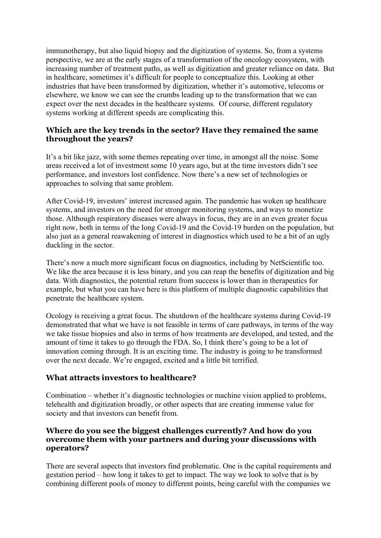immunotherapy, but also liquid biopsy and the digitization of systems. So, from a systems perspective, we are at the early stages of a transformation of the oncology ecosystem, with increasing number of treatment paths, as well as digitization and greater reliance on data. But in healthcare, sometimes it's difficult for people to conceptualize this. Looking at other industries that have been transformed by digitization, whether it's automotive, telecoms or elsewhere, we know we can see the crumbs leading up to the transformation that we can expect over the next decades in the healthcare systems. Of course, different regulatory systems working at different speeds are complicating this.

## **Which are the key trends in the sector? Have they remained the same throughout the years?**

It's a bit like jazz, with some themes repeating over time, in amongst all the noise. Some areas received a lot of investment some 10 years ago, but at the time investors didn't see performance, and investors lost confidence. Now there's a new set of technologies or approaches to solving that same problem.

After Covid-19, investors' interest increased again. The pandemic has woken up healthcare systems, and investors on the need for stronger monitoring systems, and ways to monetize those. Although respiratory diseases were always in focus, they are in an even greater focus right now, both in terms of the long Covid-19 and the Covid-19 burden on the population, but also just as a general reawakening of interest in diagnostics which used to be a bit of an ugly duckling in the sector.

There's now a much more significant focus on diagnostics, including by NetScientific too. We like the area because it is less binary, and you can reap the benefits of digitization and big data. With diagnostics, the potential return from success is lower than in therapeutics for example, but what you can have here is this platform of multiple diagnostic capabilities that penetrate the healthcare system.

Ocology is receiving a great focus. The shutdown of the healthcare systems during Covid-19 demonstrated that what we have is not feasible in terms of care pathways, in terms of the way we take tissue biopsies and also in terms of how treatments are developed, and tested, and the amount of time it takes to go through the FDA. So, I think there's going to be a lot of innovation coming through. It is an exciting time. The industry is going to be transformed over the next decade. We're engaged, excited and a little bit terrified.

#### **What attracts investors to healthcare?**

Combination – whether it's diagnostic technologies or machine vision applied to problems, telehealth and digitization broadly, or other aspects that are creating immense value for society and that investors can benefit from.

#### **Where do you see the biggest challenges currently? And how do you overcome them with your partners and during your discussions with operators?**

There are several aspects that investors find problematic. One is the capital requirements and gestation period – how long it takes to get to impact. The way we look to solve that is by combining different pools of money to different points, being careful with the companies we